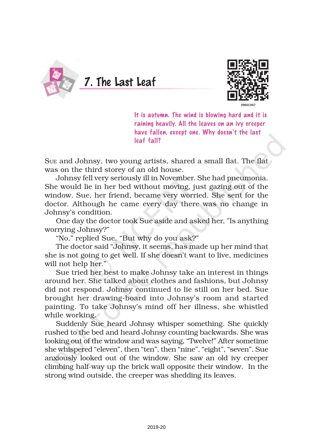



It is autumn. The wind is blowing hard and it is raining heavily. All the leaves on an ivy creeper have fallen, except one. Why doesn't the last leaf fall?

Sue and Johnsy, two young artists, shared a small flat. The flat was on the third storey of an old house.

Johnsy fell very seriously ill in November. She had pneumonia. She would lie in her bed without moving, just gazing out of the window. Sue, her friend, became very worried. She sent for the doctor. Although he came every day there was no change in Johnsy's condition.

One day the doctor took Sue aside and asked her, "Is anything worrying Johnsy?"

"No," replied Sue. "But why do you ask?"

The doctor said "Johnsy, it seems, has made up her mind that she is not going to get well. If she doesn't want to live, medicines will not help her."

Sue tried her best to make Johnsy take an interest in things around her. She talked about clothes and fashions*,* but Johnsy did not respond. Johnsy continued to lie still on her bed. Sue brought her drawing-board into Johnsy's room and started painting. To take Johnsy's mind off her illness, she whistled while working.

Suddenly Sue heard Johnsy whisper something. She quickly rushed to the bed and heard Johnsy counting backwards. She was looking out of the window and was saying, "Twelve!" After sometime she whispered "eleven", then "ten", then "nine", "eight", "seven". Sue anxiously looked out of the window. She saw an old ivy creeper climbing half-way up the brick wall opposite their window. In the strong wind outside, the creeper was shedding its leaves.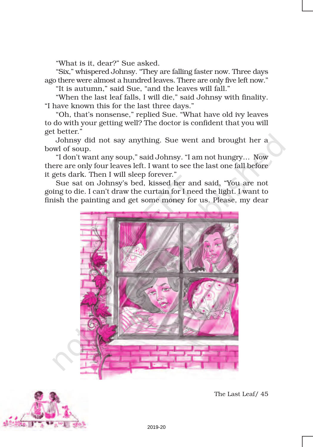"What is it, dear?" Sue asked.

"Six," whispered Johnsy. "They are falling faster now. Three days ago there were almost a hundred leaves. There are only five left now."

"It is autumn," said Sue, "and the leaves will fall."

"When the last leaf falls, I will die," said Johnsy with finality. "I have known this for the last three days."

"Oh, that's nonsense," replied Sue. "What have old ivy leaves to do with your getting well? The doctor is confident that you will get better."

Johnsy did not say anything. Sue went and brought her a bowl of soup.

"I don't want any soup," said Johnsy. "I am not hungry… Now there are only four leaves left. I want to see the last one fall before it gets dark. Then I will sleep forever."

Sue sat on Johnsy's bed, kissed her and said, "You are not going to die. I can't draw the curtain for I need the light. I want to finish the painting and get some money for us. Please, my dear





The Last Leaf/ 45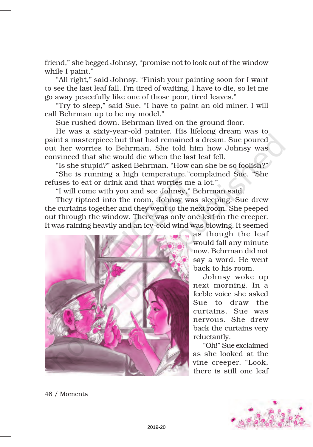friend," she begged Johnsy, "promise not to look out of the window while I paint."

"All right," said Johnsy. "Finish your painting soon for I want to see the last leaf fall. I'm tired of waiting. I have to die, so let me go away peacefully like one of those poor, tired leaves."

"Try to sleep," said Sue. "I have to paint an old miner. I will call Behrman up to be my model."

Sue rushed down. Behrman lived on the ground floor.

He was a sixty-year-old painter. His lifelong dream was to paint a masterpiece but that had remained a dream. Sue poured out her worries to Behrman. She told him how Johnsy was convinced that she would die when the last leaf fell.

"Is she stupid?" asked Behrman. "How can she be so foolish?" "She is running a high temperature,"complained Sue. "She refuses to eat or drink and that worries me a lot."

"I will come with you and see Johnsy," Behrman said.

They tiptoed into the room. Johnsy was sleeping. Sue drew the curtains together and they went to the next room. She peeped out through the window. There was only one leaf on the creeper. It was raining heavily and an icy-cold wind was blowing. It seemed



as though the leaf would fall any minute now. Behrman did not say a word. He went back to his room.

Johnsy woke up next morning. In a feeble voice she asked Sue to draw the curtains. Sue was nervous. She drew back the curtains very reluctantly.

"Oh!" Sue exclaimed as she looked at the vine creeper. "Look, there is still one leaf



46 / Moments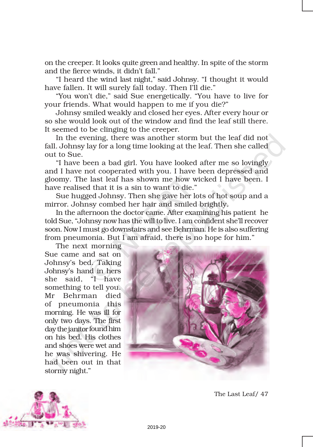on the creeper. It looks quite green and healthy. In spite of the storm and the fierce winds, it didn't fall."

"I heard the wind last night," said Johnsy. "I thought it would have fallen. It will surely fall today. Then I'll die."

"You won't die," said Sue energetically. "You have to live for your friends. What would happen to me if you die?"

Johnsy smiled weakly and closed her eyes. After every hour or so she would look out of the window and find the leaf still there. It seemed to be clinging to the creeper.

In the evening, there was another storm but the leaf did not fall. Johnsy lay for a long time looking at the leaf. Then she called out to Sue.

"I have been a bad girl. You have looked after me so lovingly and I have not cooperated with you. I have been depressed and gloomy. The last leaf has shown me how wicked I have been. I have realised that it is a sin to want to die."

Sue hugged Johnsy. Then she gave her lots of hot soup and a mirror. Johnsy combed her hair and smiled brightly.

In the afternoon the doctor came. After examining his patient he told Sue, "Johnsy now has the will to live. I am confident she'll recover soon. Now I must go downstairs and see Behrman. He is also suffering from pneumonia. But I am afraid, there is no hope for him."

The next morning Sue came and sat on Johnsy's bed. Taking Johnsy's hand in hers she said, "I have something to tell you. Mr Behrman died of pneumonia this morning. He was ill for only two days. The first day the janitor found him on his bed. His clothes and shoes were wet and he was shivering. He had been out in that stormy night."





The Last Leaf/ 47